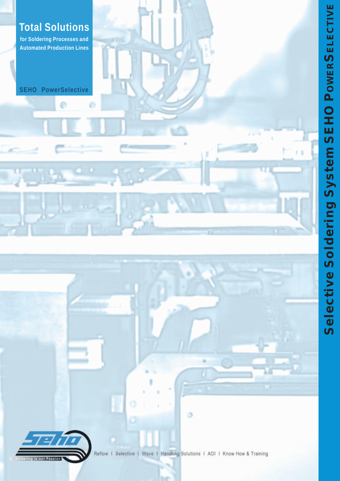

**Total Solutions** 

for Soldering Processes and Automated Production Lines

SEHO PowerSelective

⊜

®

Reflow | Selective | Wave | Handling Solutions | AOI | Know How & Training

۵

O

Saldering is our Passion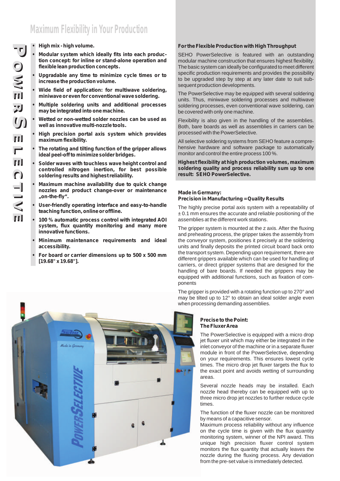# **Maximum Flexibility in Your Production**

## **• High mix - high volume.**

- **Modular system which ideally fits into each production concept: for inline or stand-alone operation and flexible lean production concepts.**
- **• Upgradable any time to minimize cycle times or to increase the production volume.**
- **• Wide field of application: for multiwave soldering, miniwave or even for conventional wave soldering.**
- **• Multiple soldering units and additional processes may be integrated into one machine.**
- **• Wetted or non-wetted solder nozzles can be used as well as innovative multi-nozzle tools.**
- **• High precision portal axis system which provides maximum flexibility.**
- **• The rotating and tilting function of the gripper allows ideal peel-off to minimize solder bridges.**
- **• Solder waves with touchless wave height control and controlled nitrogen inertion, for best possible soldering results and highest reliability.**
- **• Maximum machine availability due to quick change nozzles and product change-over or maintenance "on-the-fly".**
- **• User-friendly operating interface and easy-to-handle teaching function, online or offline.**
- **• 100 % automatic process control with integrated AOI system, flux quantity monitoring and many more innovative functions.**
- **• Minimum maintenance requirements and ideal accessibility.**
- **• For board or carrier dimensions up to 500 x 500 mm [19.68" x 19.68"].**

## **For the Flexible Production with High Throughput**

SEHO PowerSelective is featured with an outstanding modular machine construction that ensures highest flexibility. The basic system can ideally be configurated to meet different specific production requirements and provides the possibility to be upgraded step by step at any later date to suit subsequent production developments.

The PowerSelective may be equipped with several soldering units. Thus, miniwave soldering processes and multiwave soldering processes, even conventional wave soldering, can be covered with only one machine.

Flexibility is also given in the handling of the assemblies. Both, bare boards as well as assemblies in carriers can be processed with the PowerSelective.

All selective soldering systems from SEHO feature a comprehensive hardware and software package to automatically monitor and control the entire process 100 %.

**Highest flexibility at high production volumes, maximum soldering quality and process reliability sum up to one result: SEHO PowerSelective.**

#### **Made in Germany: Precision in Manufacturing = Quality Results**

ponents

The highly precise portal axis system with a repeatability of  $± 0.1$  mm ensures the accurate and reliable positioning of the

assemblies at the different work stations. The gripper system is mounted at the z axis. After the fluxing and preheating process, the gripper takes the assembly from the conveyor system, positiones it precisely at the soldering units and finally deposits the printed circuit board back onto the transport system. Depending upon requirement, there are different grippers available which can be used for handling of carriers, or direct gripper systems that are designed for the handling of bare boards. If needed the grippers may be

The gripper is provided with a rotating function up to 270° and may be tilted up to 12° to obtain an ideal solder angle even when processing demanding assemblies.

equipped with additional functions, such as fixation of com-

## **Precise to the Point: The Fluxer Area**

The PowerSelective is equipped with a micro drop jet fluxer unit which may either be integrated in the inlet conveyor of the machine or in a separate fluxer module in front of the PowerSelective, depending on your requirements. This ensures lowest cycle times. The micro drop jet fluxer targets the flux to the exact point and avoids wetting of surrounding areas.

Several nozzle heads may be installed. Each nozzle head thereby can be equipped with up to three micro drop jet nozzles to further reduce cycle times.

The function of the fluxer nozzle can be monitored by means of a capacitive sensor.

Maximum process reliability without any influence on the cycle time is given with the flux quantity monitoring system, winner of the NPI award. This unique high precision fluxer control system monitors the flux quantity that actually leaves the nozzle during the fluxing process. Any deviation from the pre-set value is immediately detected.

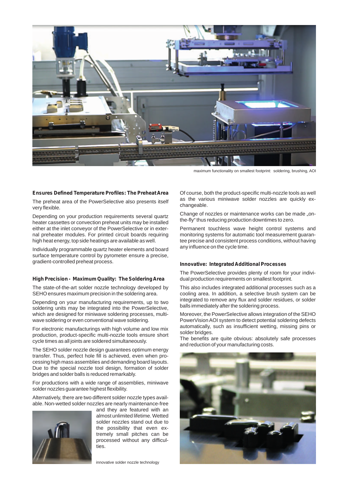

maximum functionality on smallest footprint: soldering, brushing, AOI

#### **Ensures Defined Temperature Profiles: The Preheat Area**

The preheat area of the PowerSelective also presents itself very flexible.

Depending on your production requirements several quartz heater cassettes or convection preheat units may be installed either at the inlet conveyor of the PowerSelective or in external preheater modules. For printed circuit boards requiring high heat energy, top side heatings are available as well.

Individually programmable quartz heater elements and board surface temperature control by pyrometer ensure a precise, gradient-controlled preheat process.

## **High Precision - Maximum Quality: The Soldering Area**

The state-of-the-art solder nozzle technology developed by SEHO ensures maximum precision in the soldering area.

Depending on your manufacturing requirements, up to two soldering units may be integrated into the PowerSelective, which are designed for miniwave soldering processes, multiwave soldering or even conventional wave soldering.

For electronic manufacturings with high volume and low mix production, product-specific multi-nozzle tools ensure short cycle times as all joints are soldered simultaneously.

The SEHO solder nozzle design guarantees optimum energy transfer. Thus, perfect hole fill is achieved, even when processing high mass assemblies and demanding board layouts. Due to the special nozzle tool design, formation of solder bridges and solder balls is reduced remarkably.

For productions with a wide range of assemblies, miniwave solder nozzles guarantee highest flexibility.

Alternatively, there are two different solder nozzle types available. Non-wetted solder nozzles are nearly maintenance-free



and they are featured with an almost unlimited lifetime. Wetted solder nozzles stand out due to the possibility that even extremely small pitches can be processed without any difficul-.<br>ties.

innovative solder nozzle technology

Of course, both the product-specific multi-nozzle tools as well as the various miniwave solder nozzles are quickly exchangeable.

Change of nozzles or maintenance works can be made "onthe-fly" thus reducing production downtimes to zero.

Permanent touchless wave height control systems and monitoring systems for automatic tool measurement guarantee precise and consistent process conditions, without having any influence on the cycle time.

#### **Innovative: Integrated Additional Processes**

The PowerSelective provides plenty of room for your individual production requirements on smallest footprint.

This also includes integrated additional processes such as a cooling area. In addition, a selective brush system can be integrated to remove any flux and solder residues, or solder balls immediately after the soldering process.

Moreover, the PowerSelective allows integration of the SEHO PowerVision AOI system to detect potential soldering defects automatically, such as insufficient wetting, missing pins or solder bridges.

The benefits are quite obvious: absolutely safe processes and reduction of your manufacturing costs.